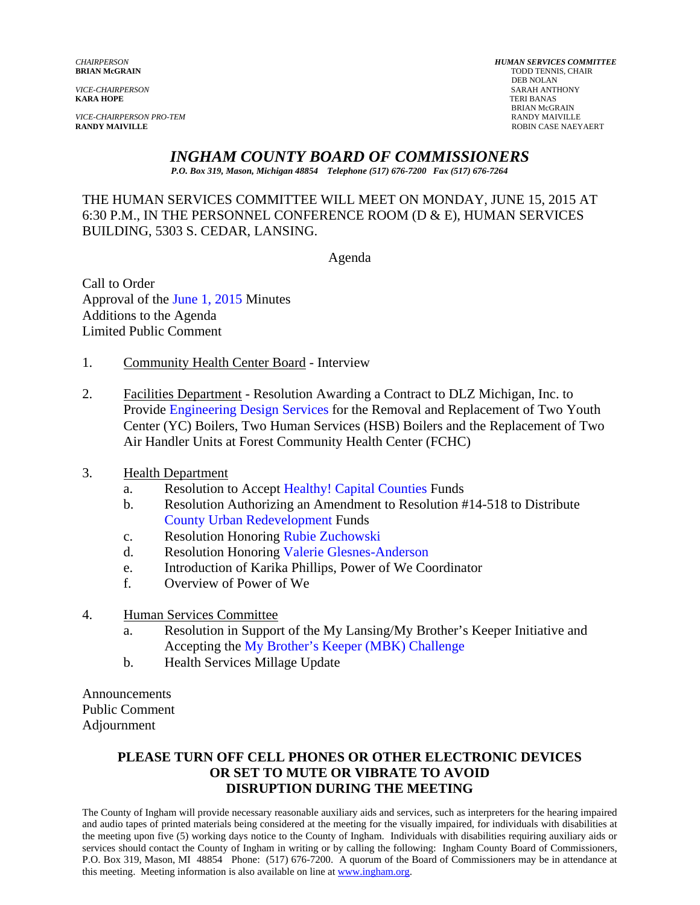*VICE-CHAIRPERSON PRO-TEM* RANDY MAIVILLE

*CHAIRPERSON HUMAN SERVICES COMMITTEE* **BRIAN McGRAIN TODD TENNIS, CHAIR TODD TENNIS, CHAIR TODD TENNIS, CHAIR**  DEB NOLAN *VICE-CHAIRPERSON* SARAH ANTHONY **TERI BANAS** BRIAN McGRAIN<br>RANDY MAIVILLE **ROBIN CASE NAEYAERT** 

## *INGHAM COUNTY BOARD OF COMMISSIONERS*

*P.O. Box 319, Mason, Michigan 48854 Telephone (517) 676-7200 Fax (517) 676-7264*

### THE HUMAN SERVICES COMMITTEE WILL MEET ON MONDAY, JUNE 15, 2015 AT 6:30 P.M., IN THE PERSONNEL CONFERENCE ROOM (D & E), HUMAN SERVICES BUILDING, 5303 S. CEDAR, LANSING.

Agenda

Call to Order Approval o[f the June 1, 2015 Minutes](#page-1-0)  Additions to the Agenda Limited Public Comment

- 1. Community Health Center Board Interview
- 2. Fac[ilities Department Resolution Awarding a Co](#page-10-0)ntract to DLZ Michigan, Inc. to Provide Engineering Design Services for the Removal and Replacement of Two Youth Center (YC) Boilers, Two Human Services (HSB) Boilers and the Replacement of Two Air Handler Units at Forest Community Health Center (FCHC)
- 3. Health Department
	- a. Resolution to Acce[pt Healthy! Capital Counties Funds](#page-13-0)
	- b. Resolution Authorizing an Amendment to Resolution #14-518 to Distribute [County Urban Redevelopment Funds](#page-15-0)
	- c. Resolution Honori[ng Rubie Zuchowski](#page-17-0)
	- d. Resolution Honoring Valerie Glesnes-Anderson
	- e. Introduction of Ka[rika Phillips, Power of We Coordinator](#page-19-0)
	- f. Overview of Power of We
- 4. Human Services Committee
	- a. Resolution in Support of the My Lansing/My Brother's Keeper Initiative and Accepting [the My Brother's Keeper \(MBK\) Challenge](#page-21-0)
	- b. Health Services Millage Update

Announcements Public Comment Adjournment

#### **PLEASE TURN OFF CELL PHONES OR OTHER ELECTRONIC DEVICES OR SET TO MUTE OR VIBRATE TO AVOID DISRUPTION DURING THE MEETING**

The County of Ingham will provide necessary reasonable auxiliary aids and services, such as interpreters for the hearing impaired and audio tapes of printed materials being considered at the meeting for the visually impaired, for individuals with disabilities at the meeting upon five (5) working days notice to the County of Ingham. Individuals with disabilities requiring auxiliary aids or services should contact the County of Ingham in writing or by calling the following: Ingham County Board of Commissioners, P.O. Box 319, Mason, MI 48854 Phone: (517) 676-7200. A quorum of the Board of Commissioners may be in attendance at this meeting. Meeting information is also available on line at www.ingham.org.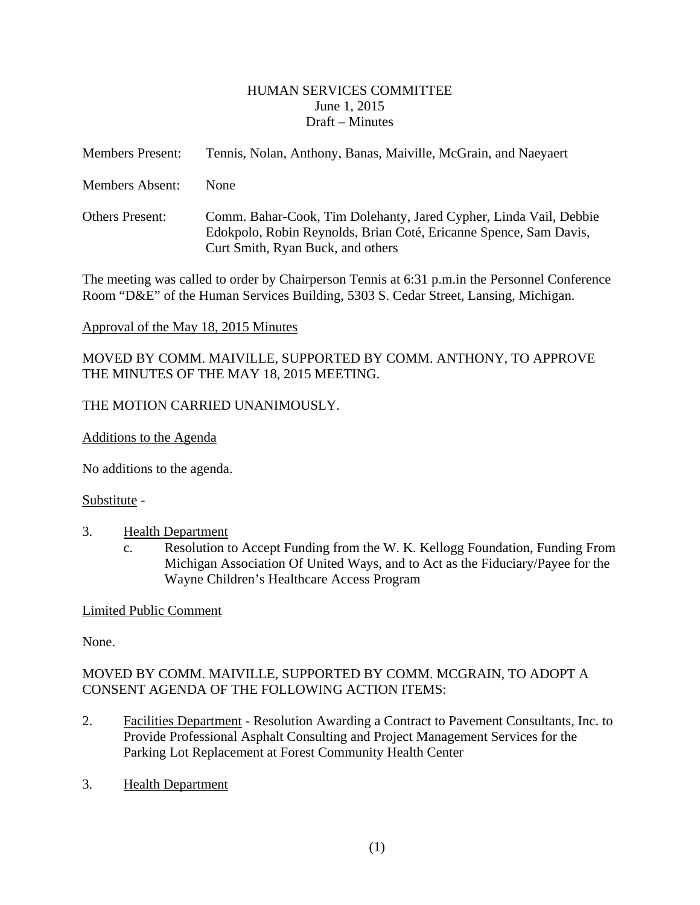#### HUMAN SERVICES COMMITTEE June 1, 2015 Draft – Minutes

<span id="page-1-0"></span>

| <b>Members Present:</b> | Tennis, Nolan, Anthony, Banas, Maiville, McGrain, and Naeyaert                                                                                                              |
|-------------------------|-----------------------------------------------------------------------------------------------------------------------------------------------------------------------------|
| Members Absent:         | <b>None</b>                                                                                                                                                                 |
| <b>Others Present:</b>  | Comm. Bahar-Cook, Tim Dolehanty, Jared Cypher, Linda Vail, Debbie<br>Edokpolo, Robin Reynolds, Brian Coté, Ericanne Spence, Sam Davis,<br>Curt Smith, Ryan Buck, and others |

The meeting was called to order by Chairperson Tennis at 6:31 p.m.in the Personnel Conference Room "D&E" of the Human Services Building, 5303 S. Cedar Street, Lansing, Michigan.

#### Approval of the May 18, 2015 Minutes

MOVED BY COMM. MAIVILLE, SUPPORTED BY COMM. ANTHONY, TO APPROVE THE MINUTES OF THE MAY 18, 2015 MEETING.

## THE MOTION CARRIED UNANIMOUSLY.

Additions to the Agenda

No additions to the agenda.

#### Substitute -

- 3. Health Department
	- c. Resolution to Accept Funding from the W. K. Kellogg Foundation, Funding From Michigan Association Of United Ways, and to Act as the Fiduciary/Payee for the Wayne Children's Healthcare Access Program

## Limited Public Comment

None.

## MOVED BY COMM. MAIVILLE, SUPPORTED BY COMM. MCGRAIN, TO ADOPT A CONSENT AGENDA OF THE FOLLOWING ACTION ITEMS:

- 2. Facilities Department Resolution Awarding a Contract to Pavement Consultants, Inc. to Provide Professional Asphalt Consulting and Project Management Services for the Parking Lot Replacement at Forest Community Health Center
- 3. Health Department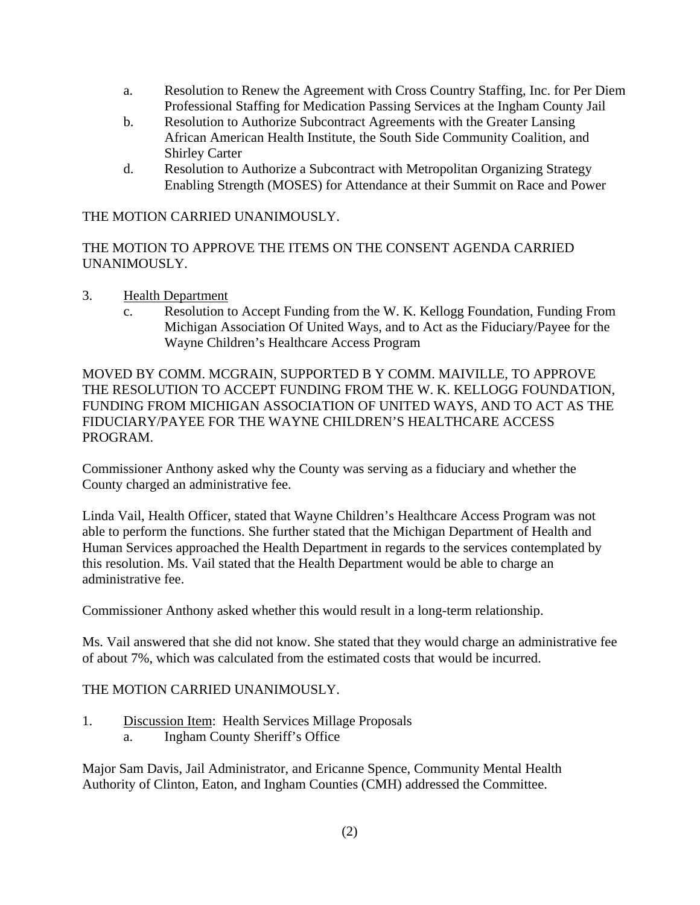- a. Resolution to Renew the Agreement with Cross Country Staffing, Inc. for Per Diem Professional Staffing for Medication Passing Services at the Ingham County Jail
- b. Resolution to Authorize Subcontract Agreements with the Greater Lansing African American Health Institute, the South Side Community Coalition, and Shirley Carter
- d. Resolution to Authorize a Subcontract with Metropolitan Organizing Strategy Enabling Strength (MOSES) for Attendance at their Summit on Race and Power

THE MOTION CARRIED UNANIMOUSLY.

THE MOTION TO APPROVE THE ITEMS ON THE CONSENT AGENDA CARRIED UNANIMOUSLY.

- 3. Health Department
	- c. Resolution to Accept Funding from the W. K. Kellogg Foundation, Funding From Michigan Association Of United Ways, and to Act as the Fiduciary/Payee for the Wayne Children's Healthcare Access Program

MOVED BY COMM. MCGRAIN, SUPPORTED B Y COMM. MAIVILLE, TO APPROVE THE RESOLUTION TO ACCEPT FUNDING FROM THE W. K. KELLOGG FOUNDATION, FUNDING FROM MICHIGAN ASSOCIATION OF UNITED WAYS, AND TO ACT AS THE FIDUCIARY/PAYEE FOR THE WAYNE CHILDREN'S HEALTHCARE ACCESS PROGRAM.

Commissioner Anthony asked why the County was serving as a fiduciary and whether the County charged an administrative fee.

Linda Vail, Health Officer, stated that Wayne Children's Healthcare Access Program was not able to perform the functions. She further stated that the Michigan Department of Health and Human Services approached the Health Department in regards to the services contemplated by this resolution. Ms. Vail stated that the Health Department would be able to charge an administrative fee.

Commissioner Anthony asked whether this would result in a long-term relationship.

Ms. Vail answered that she did not know. She stated that they would charge an administrative fee of about 7%, which was calculated from the estimated costs that would be incurred.

## THE MOTION CARRIED UNANIMOUSLY.

1. Discussion Item: Health Services Millage Proposals a. Ingham County Sheriff's Office

Major Sam Davis, Jail Administrator, and Ericanne Spence, Community Mental Health Authority of Clinton, Eaton, and Ingham Counties (CMH) addressed the Committee.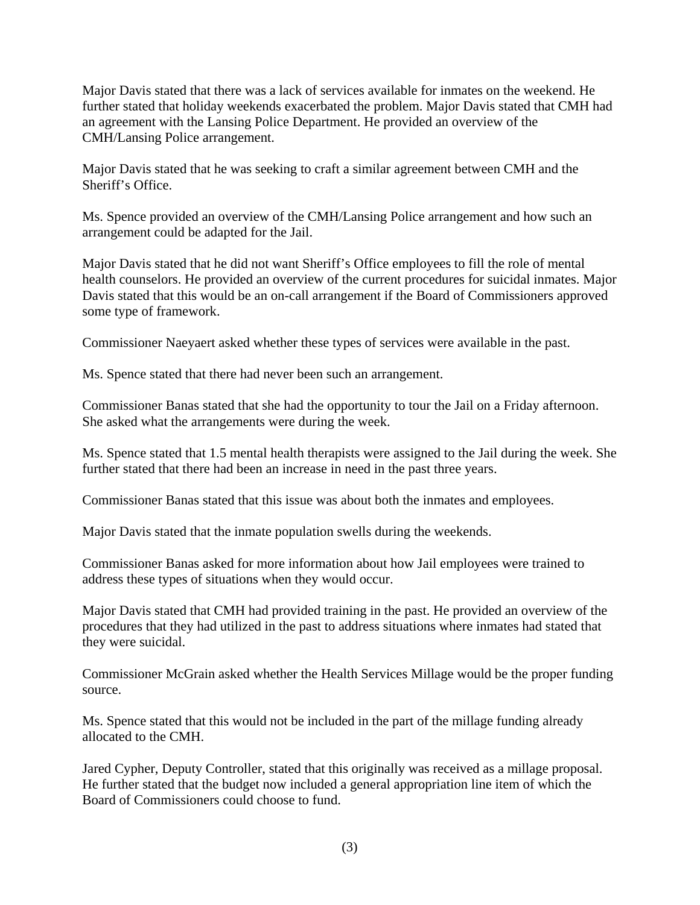Major Davis stated that there was a lack of services available for inmates on the weekend. He further stated that holiday weekends exacerbated the problem. Major Davis stated that CMH had an agreement with the Lansing Police Department. He provided an overview of the CMH/Lansing Police arrangement.

Major Davis stated that he was seeking to craft a similar agreement between CMH and the Sheriff's Office.

Ms. Spence provided an overview of the CMH/Lansing Police arrangement and how such an arrangement could be adapted for the Jail.

Major Davis stated that he did not want Sheriff's Office employees to fill the role of mental health counselors. He provided an overview of the current procedures for suicidal inmates. Major Davis stated that this would be an on-call arrangement if the Board of Commissioners approved some type of framework.

Commissioner Naeyaert asked whether these types of services were available in the past.

Ms. Spence stated that there had never been such an arrangement.

Commissioner Banas stated that she had the opportunity to tour the Jail on a Friday afternoon. She asked what the arrangements were during the week.

Ms. Spence stated that 1.5 mental health therapists were assigned to the Jail during the week. She further stated that there had been an increase in need in the past three years.

Commissioner Banas stated that this issue was about both the inmates and employees.

Major Davis stated that the inmate population swells during the weekends.

Commissioner Banas asked for more information about how Jail employees were trained to address these types of situations when they would occur.

Major Davis stated that CMH had provided training in the past. He provided an overview of the procedures that they had utilized in the past to address situations where inmates had stated that they were suicidal.

Commissioner McGrain asked whether the Health Services Millage would be the proper funding source.

Ms. Spence stated that this would not be included in the part of the millage funding already allocated to the CMH.

Jared Cypher, Deputy Controller, stated that this originally was received as a millage proposal. He further stated that the budget now included a general appropriation line item of which the Board of Commissioners could choose to fund.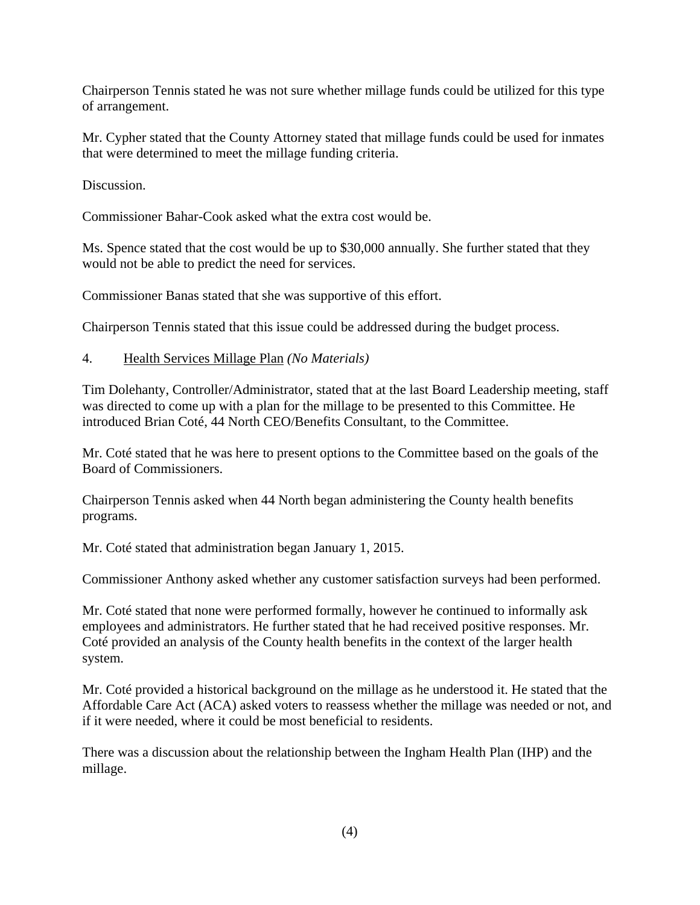Chairperson Tennis stated he was not sure whether millage funds could be utilized for this type of arrangement.

Mr. Cypher stated that the County Attorney stated that millage funds could be used for inmates that were determined to meet the millage funding criteria.

Discussion.

Commissioner Bahar-Cook asked what the extra cost would be.

Ms. Spence stated that the cost would be up to \$30,000 annually. She further stated that they would not be able to predict the need for services.

Commissioner Banas stated that she was supportive of this effort.

Chairperson Tennis stated that this issue could be addressed during the budget process.

#### 4. Health Services Millage Plan *(No Materials)*

Tim Dolehanty, Controller/Administrator, stated that at the last Board Leadership meeting, staff was directed to come up with a plan for the millage to be presented to this Committee. He introduced Brian Coté, 44 North CEO/Benefits Consultant, to the Committee.

Mr. Coté stated that he was here to present options to the Committee based on the goals of the Board of Commissioners.

Chairperson Tennis asked when 44 North began administering the County health benefits programs.

Mr. Coté stated that administration began January 1, 2015.

Commissioner Anthony asked whether any customer satisfaction surveys had been performed.

Mr. Coté stated that none were performed formally, however he continued to informally ask employees and administrators. He further stated that he had received positive responses. Mr. Coté provided an analysis of the County health benefits in the context of the larger health system.

Mr. Coté provided a historical background on the millage as he understood it. He stated that the Affordable Care Act (ACA) asked voters to reassess whether the millage was needed or not, and if it were needed, where it could be most beneficial to residents.

There was a discussion about the relationship between the Ingham Health Plan (IHP) and the millage.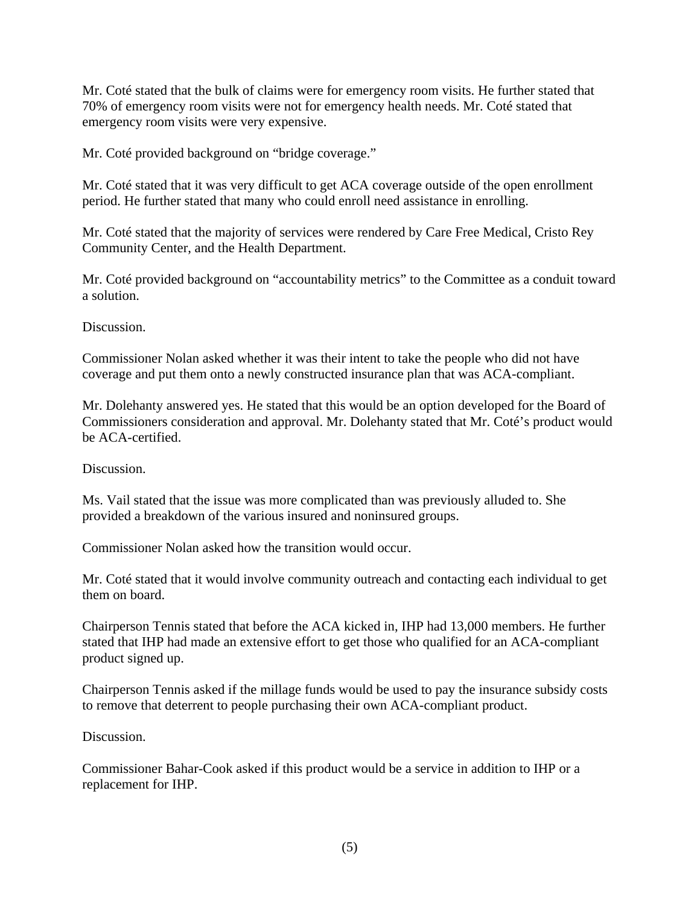Mr. Coté stated that the bulk of claims were for emergency room visits. He further stated that 70% of emergency room visits were not for emergency health needs. Mr. Coté stated that emergency room visits were very expensive.

Mr. Coté provided background on "bridge coverage."

Mr. Coté stated that it was very difficult to get ACA coverage outside of the open enrollment period. He further stated that many who could enroll need assistance in enrolling.

Mr. Coté stated that the majority of services were rendered by Care Free Medical, Cristo Rey Community Center, and the Health Department.

Mr. Coté provided background on "accountability metrics" to the Committee as a conduit toward a solution.

Discussion.

Commissioner Nolan asked whether it was their intent to take the people who did not have coverage and put them onto a newly constructed insurance plan that was ACA-compliant.

Mr. Dolehanty answered yes. He stated that this would be an option developed for the Board of Commissioners consideration and approval. Mr. Dolehanty stated that Mr. Coté's product would be ACA-certified.

Discussion.

Ms. Vail stated that the issue was more complicated than was previously alluded to. She provided a breakdown of the various insured and noninsured groups.

Commissioner Nolan asked how the transition would occur.

Mr. Coté stated that it would involve community outreach and contacting each individual to get them on board.

Chairperson Tennis stated that before the ACA kicked in, IHP had 13,000 members. He further stated that IHP had made an extensive effort to get those who qualified for an ACA-compliant product signed up.

Chairperson Tennis asked if the millage funds would be used to pay the insurance subsidy costs to remove that deterrent to people purchasing their own ACA-compliant product.

Discussion.

Commissioner Bahar-Cook asked if this product would be a service in addition to IHP or a replacement for IHP.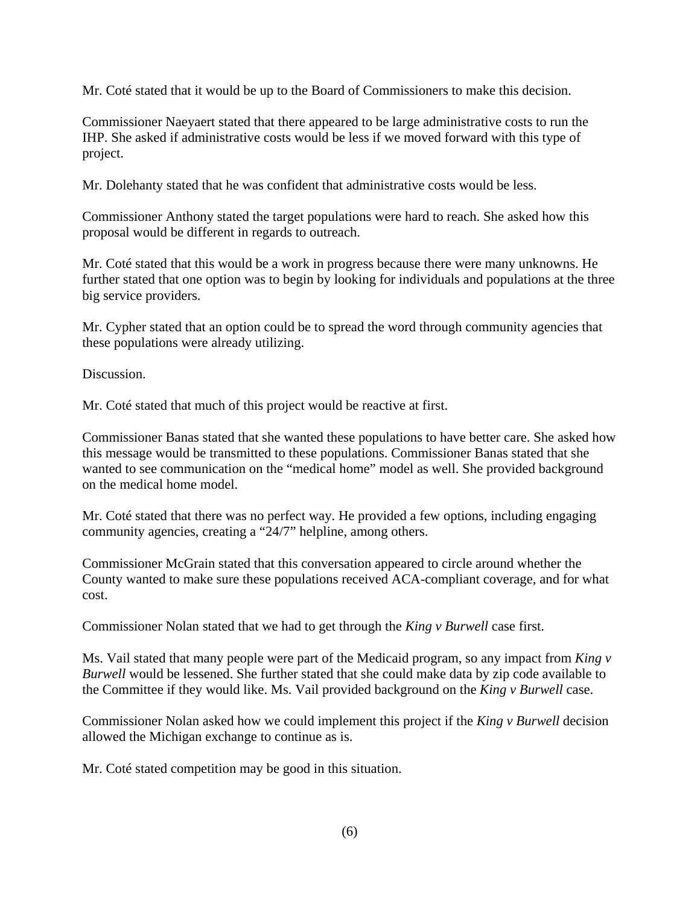Mr. Coté stated that it would be up to the Board of Commissioners to make this decision.

Commissioner Naeyaert stated that there appeared to be large administrative costs to run the IHP. She asked if administrative costs would be less if we moved forward with this type of project.

Mr. Dolehanty stated that he was confident that administrative costs would be less.

Commissioner Anthony stated the target populations were hard to reach. She asked how this proposal would be different in regards to outreach.

Mr. Coté stated that this would be a work in progress because there were many unknowns. He further stated that one option was to begin by looking for individuals and populations at the three big service providers.

Mr. Cypher stated that an option could be to spread the word through community agencies that these populations were already utilizing.

Discussion.

Mr. Coté stated that much of this project would be reactive at first.

Commissioner Banas stated that she wanted these populations to have better care. She asked how this message would be transmitted to these populations. Commissioner Banas stated that she wanted to see communication on the "medical home" model as well. She provided background on the medical home model.

Mr. Coté stated that there was no perfect way. He provided a few options, including engaging community agencies, creating a "24/7" helpline, among others.

Commissioner McGrain stated that this conversation appeared to circle around whether the County wanted to make sure these populations received ACA-compliant coverage, and for what cost.

Commissioner Nolan stated that we had to get through the *King v Burwell* case first.

Ms. Vail stated that many people were part of the Medicaid program, so any impact from *King v Burwell* would be lessened. She further stated that she could make data by zip code available to the Committee if they would like. Ms. Vail provided background on the *King v Burwell* case.

Commissioner Nolan asked how we could implement this project if the *King v Burwell* decision allowed the Michigan exchange to continue as is.

Mr. Coté stated competition may be good in this situation.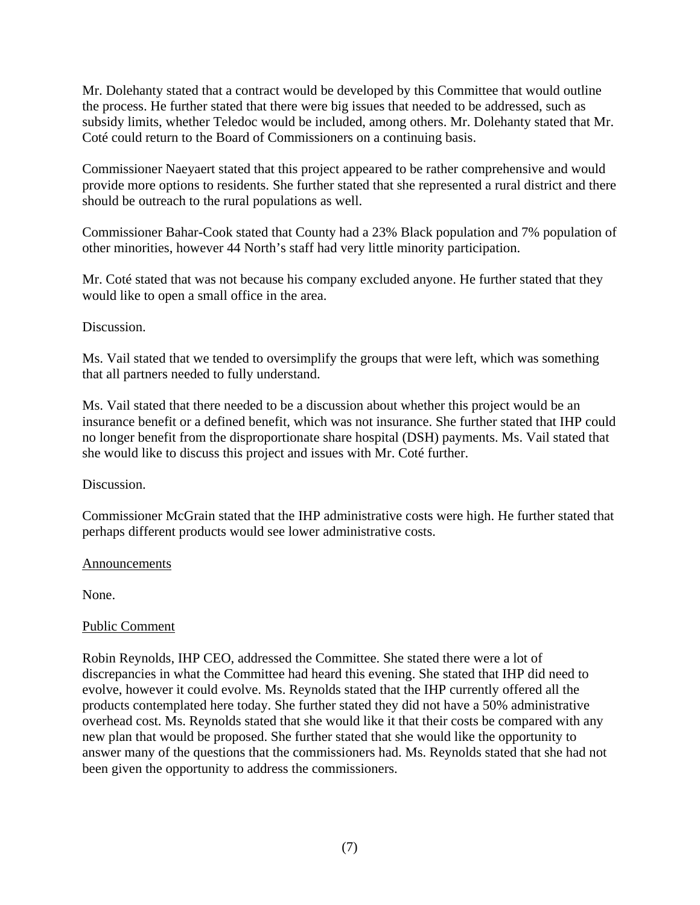Mr. Dolehanty stated that a contract would be developed by this Committee that would outline the process. He further stated that there were big issues that needed to be addressed, such as subsidy limits, whether Teledoc would be included, among others. Mr. Dolehanty stated that Mr. Coté could return to the Board of Commissioners on a continuing basis.

Commissioner Naeyaert stated that this project appeared to be rather comprehensive and would provide more options to residents. She further stated that she represented a rural district and there should be outreach to the rural populations as well.

Commissioner Bahar-Cook stated that County had a 23% Black population and 7% population of other minorities, however 44 North's staff had very little minority participation.

Mr. Coté stated that was not because his company excluded anyone. He further stated that they would like to open a small office in the area.

Discussion.

Ms. Vail stated that we tended to oversimplify the groups that were left, which was something that all partners needed to fully understand.

Ms. Vail stated that there needed to be a discussion about whether this project would be an insurance benefit or a defined benefit, which was not insurance. She further stated that IHP could no longer benefit from the disproportionate share hospital (DSH) payments. Ms. Vail stated that she would like to discuss this project and issues with Mr. Coté further.

Discussion.

Commissioner McGrain stated that the IHP administrative costs were high. He further stated that perhaps different products would see lower administrative costs.

#### Announcements

None.

## Public Comment

Robin Reynolds, IHP CEO, addressed the Committee. She stated there were a lot of discrepancies in what the Committee had heard this evening. She stated that IHP did need to evolve, however it could evolve. Ms. Reynolds stated that the IHP currently offered all the products contemplated here today. She further stated they did not have a 50% administrative overhead cost. Ms. Reynolds stated that she would like it that their costs be compared with any new plan that would be proposed. She further stated that she would like the opportunity to answer many of the questions that the commissioners had. Ms. Reynolds stated that she had not been given the opportunity to address the commissioners.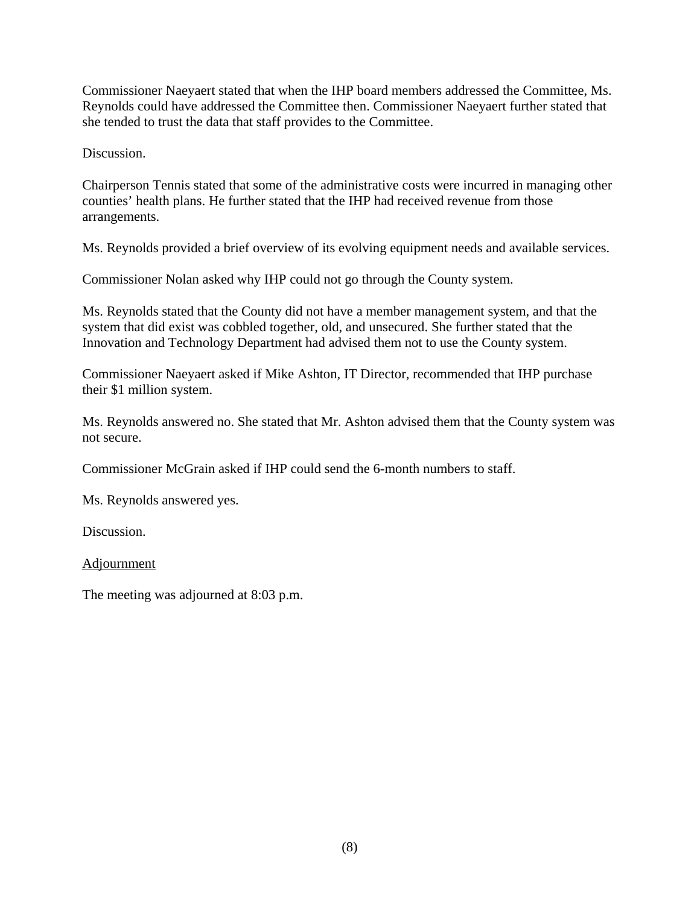Commissioner Naeyaert stated that when the IHP board members addressed the Committee, Ms. Reynolds could have addressed the Committee then. Commissioner Naeyaert further stated that she tended to trust the data that staff provides to the Committee.

Discussion.

Chairperson Tennis stated that some of the administrative costs were incurred in managing other counties' health plans. He further stated that the IHP had received revenue from those arrangements.

Ms. Reynolds provided a brief overview of its evolving equipment needs and available services.

Commissioner Nolan asked why IHP could not go through the County system.

Ms. Reynolds stated that the County did not have a member management system, and that the system that did exist was cobbled together, old, and unsecured. She further stated that the Innovation and Technology Department had advised them not to use the County system.

Commissioner Naeyaert asked if Mike Ashton, IT Director, recommended that IHP purchase their \$1 million system.

Ms. Reynolds answered no. She stated that Mr. Ashton advised them that the County system was not secure.

Commissioner McGrain asked if IHP could send the 6-month numbers to staff.

Ms. Reynolds answered yes.

**Discussion** 

Adjournment

The meeting was adjourned at 8:03 p.m.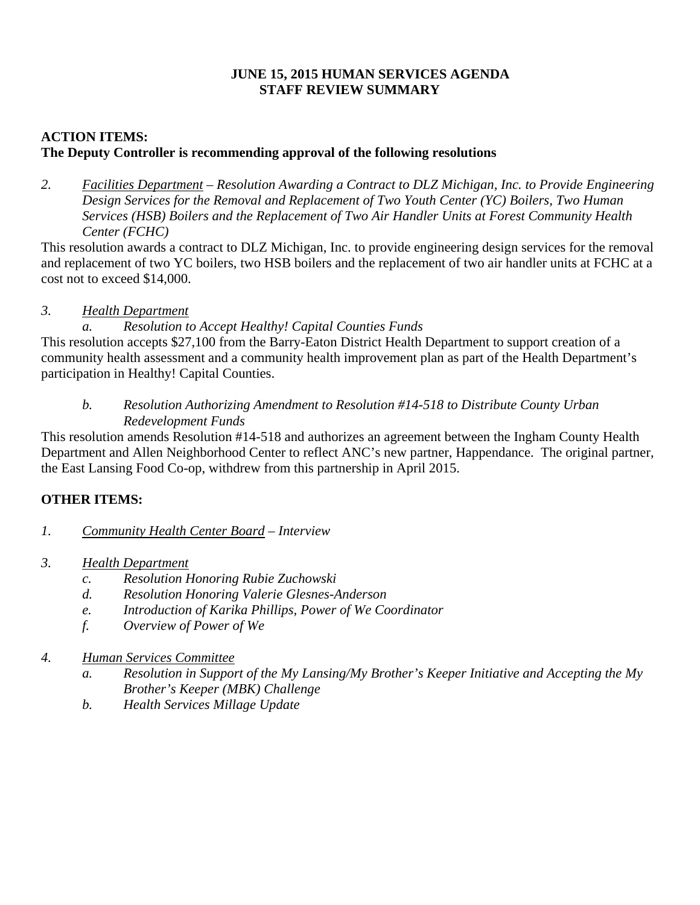## **JUNE 15, 2015 HUMAN SERVICES AGENDA STAFF REVIEW SUMMARY**

## **ACTION ITEMS: The Deputy Controller is recommending approval of the following resolutions**

*2. Facilities Department – Resolution Awarding a Contract to DLZ Michigan, Inc. to Provide Engineering Design Services for the Removal and Replacement of Two Youth Center (YC) Boilers, Two Human Services (HSB) Boilers and the Replacement of Two Air Handler Units at Forest Community Health Center (FCHC)* 

This resolution awards a contract to DLZ Michigan, Inc. to provide engineering design services for the removal and replacement of two YC boilers, two HSB boilers and the replacement of two air handler units at FCHC at a cost not to exceed \$14,000.

## *3. Health Department*

## *a. Resolution to Accept Healthy! Capital Counties Funds*

This resolution accepts \$27,100 from the Barry-Eaton District Health Department to support creation of a community health assessment and a community health improvement plan as part of the Health Department's participation in Healthy! Capital Counties.

## *b. Resolution Authorizing Amendment to Resolution #14-518 to Distribute County Urban Redevelopment Funds*

This resolution amends Resolution #14-518 and authorizes an agreement between the Ingham County Health Department and Allen Neighborhood Center to reflect ANC's new partner, Happendance. The original partner, the East Lansing Food Co-op, withdrew from this partnership in April 2015.

## **OTHER ITEMS:**

- *1. Community Health Center Board Interview*
- *3. Health Department* 
	- *c. Resolution Honoring Rubie Zuchowski*
	- *d. Resolution Honoring Valerie Glesnes-Anderson*
	- *e. Introduction of Karika Phillips, Power of We Coordinator*
	- *f. Overview of Power of We*
- *4. Human Services Committee* 
	- *a. Resolution in Support of the My Lansing/My Brother's Keeper Initiative and Accepting the My Brother's Keeper (MBK) Challenge*
	- *b. Health Services Millage Update*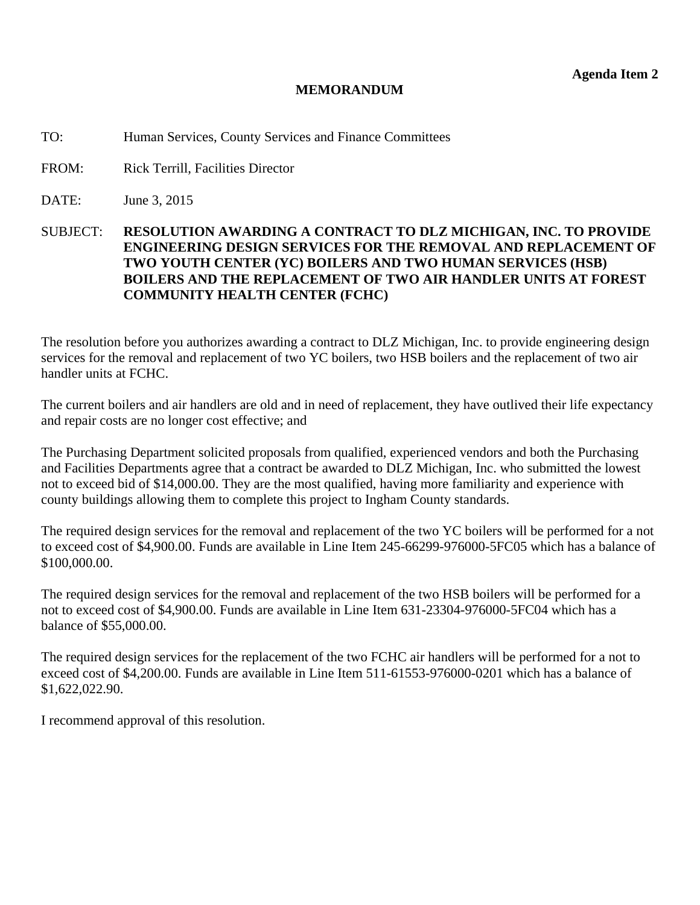#### **MEMORANDUM**

<span id="page-10-0"></span>TO: Human Services, County Services and Finance Committees

FROM: Rick Terrill, Facilities Director

DATE: June 3, 2015

SUBJECT: **RESOLUTION AWARDING A CONTRACT TO DLZ MICHIGAN, INC. TO PROVIDE ENGINEERING DESIGN SERVICES FOR THE REMOVAL AND REPLACEMENT OF TWO YOUTH CENTER (YC) BOILERS AND TWO HUMAN SERVICES (HSB) BOILERS AND THE REPLACEMENT OF TWO AIR HANDLER UNITS AT FOREST COMMUNITY HEALTH CENTER (FCHC)** 

The resolution before you authorizes awarding a contract to DLZ Michigan, Inc. to provide engineering design services for the removal and replacement of two YC boilers, two HSB boilers and the replacement of two air handler units at FCHC.

The current boilers and air handlers are old and in need of replacement, they have outlived their life expectancy and repair costs are no longer cost effective; and

The Purchasing Department solicited proposals from qualified, experienced vendors and both the Purchasing and Facilities Departments agree that a contract be awarded to DLZ Michigan, Inc. who submitted the lowest not to exceed bid of \$14,000.00. They are the most qualified, having more familiarity and experience with county buildings allowing them to complete this project to Ingham County standards.

The required design services for the removal and replacement of the two YC boilers will be performed for a not to exceed cost of \$4,900.00. Funds are available in Line Item 245-66299-976000-5FC05 which has a balance of \$100,000.00.

The required design services for the removal and replacement of the two HSB boilers will be performed for a not to exceed cost of \$4,900.00. Funds are available in Line Item 631-23304-976000-5FC04 which has a balance of \$55,000.00.

The required design services for the replacement of the two FCHC air handlers will be performed for a not to exceed cost of \$4,200.00. Funds are available in Line Item 511-61553-976000-0201 which has a balance of \$1,622,022.90.

I recommend approval of this resolution.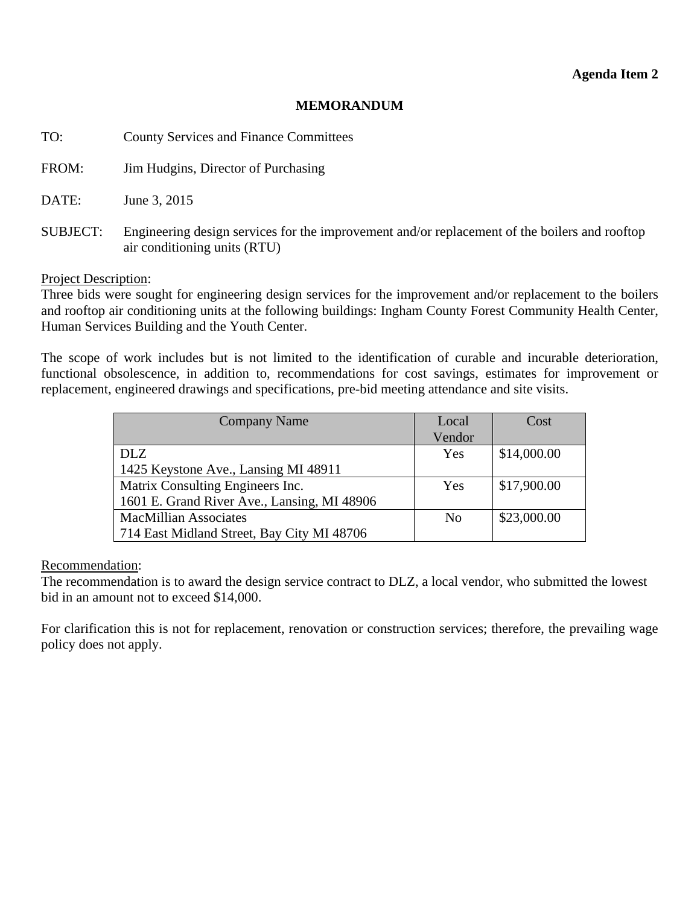### **MEMORANDUM**

| TO:             | <b>County Services and Finance Committees</b>                                                                                 |
|-----------------|-------------------------------------------------------------------------------------------------------------------------------|
| FROM:           | Jim Hudgins, Director of Purchasing                                                                                           |
| DATE:           | June 3, 2015                                                                                                                  |
| <b>SUBJECT:</b> | Engineering design services for the improvement and/or replacement of the boilers and rooftop<br>air conditioning units (RTU) |

## Project Description:

Three bids were sought for engineering design services for the improvement and/or replacement to the boilers and rooftop air conditioning units at the following buildings: Ingham County Forest Community Health Center, Human Services Building and the Youth Center.

The scope of work includes but is not limited to the identification of curable and incurable deterioration, functional obsolescence, in addition to, recommendations for cost savings, estimates for improvement or replacement, engineered drawings and specifications, pre-bid meeting attendance and site visits.

| <b>Company Name</b>                         | Local          | Cost        |
|---------------------------------------------|----------------|-------------|
|                                             | Vendor         |             |
| <b>DLZ</b>                                  | Yes            | \$14,000.00 |
| 1425 Keystone Ave., Lansing MI 48911        |                |             |
| Matrix Consulting Engineers Inc.            | Yes            | \$17,900.00 |
| 1601 E. Grand River Ave., Lansing, MI 48906 |                |             |
| <b>MacMillian Associates</b>                | N <sub>0</sub> | \$23,000.00 |
| 714 East Midland Street, Bay City MI 48706  |                |             |

Recommendation:

The recommendation is to award the design service contract to DLZ, a local vendor, who submitted the lowest bid in an amount not to exceed \$14,000.

For clarification this is not for replacement, renovation or construction services; therefore, the prevailing wage policy does not apply.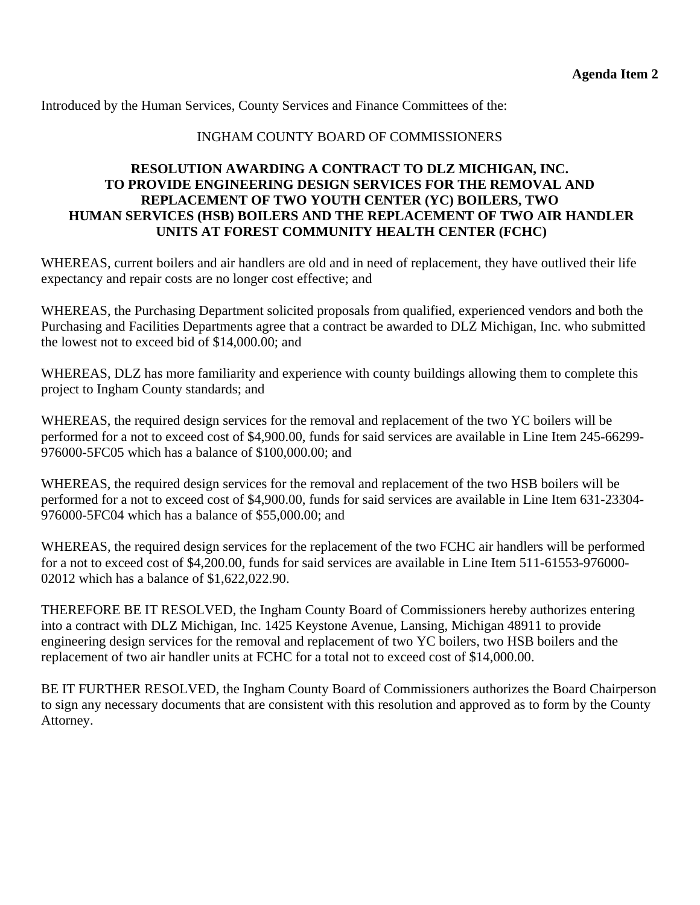Introduced by the Human Services, County Services and Finance Committees of the:

#### INGHAM COUNTY BOARD OF COMMISSIONERS

## **RESOLUTION AWARDING A CONTRACT TO DLZ MICHIGAN, INC. TO PROVIDE ENGINEERING DESIGN SERVICES FOR THE REMOVAL AND REPLACEMENT OF TWO YOUTH CENTER (YC) BOILERS, TWO HUMAN SERVICES (HSB) BOILERS AND THE REPLACEMENT OF TWO AIR HANDLER UNITS AT FOREST COMMUNITY HEALTH CENTER (FCHC)**

WHEREAS, current boilers and air handlers are old and in need of replacement, they have outlived their life expectancy and repair costs are no longer cost effective; and

WHEREAS, the Purchasing Department solicited proposals from qualified, experienced vendors and both the Purchasing and Facilities Departments agree that a contract be awarded to DLZ Michigan, Inc. who submitted the lowest not to exceed bid of \$14,000.00; and

WHEREAS, DLZ has more familiarity and experience with county buildings allowing them to complete this project to Ingham County standards; and

WHEREAS, the required design services for the removal and replacement of the two YC boilers will be performed for a not to exceed cost of \$4,900.00, funds for said services are available in Line Item 245-66299- 976000-5FC05 which has a balance of \$100,000.00; and

WHEREAS, the required design services for the removal and replacement of the two HSB boilers will be performed for a not to exceed cost of \$4,900.00, funds for said services are available in Line Item 631-23304- 976000-5FC04 which has a balance of \$55,000.00; and

WHEREAS, the required design services for the replacement of the two FCHC air handlers will be performed for a not to exceed cost of \$4,200.00, funds for said services are available in Line Item 511-61553-976000- 02012 which has a balance of \$1,622,022.90.

THEREFORE BE IT RESOLVED, the Ingham County Board of Commissioners hereby authorizes entering into a contract with DLZ Michigan, Inc. 1425 Keystone Avenue, Lansing, Michigan 48911 to provide engineering design services for the removal and replacement of two YC boilers, two HSB boilers and the replacement of two air handler units at FCHC for a total not to exceed cost of \$14,000.00.

BE IT FURTHER RESOLVED, the Ingham County Board of Commissioners authorizes the Board Chairperson to sign any necessary documents that are consistent with this resolution and approved as to form by the County Attorney.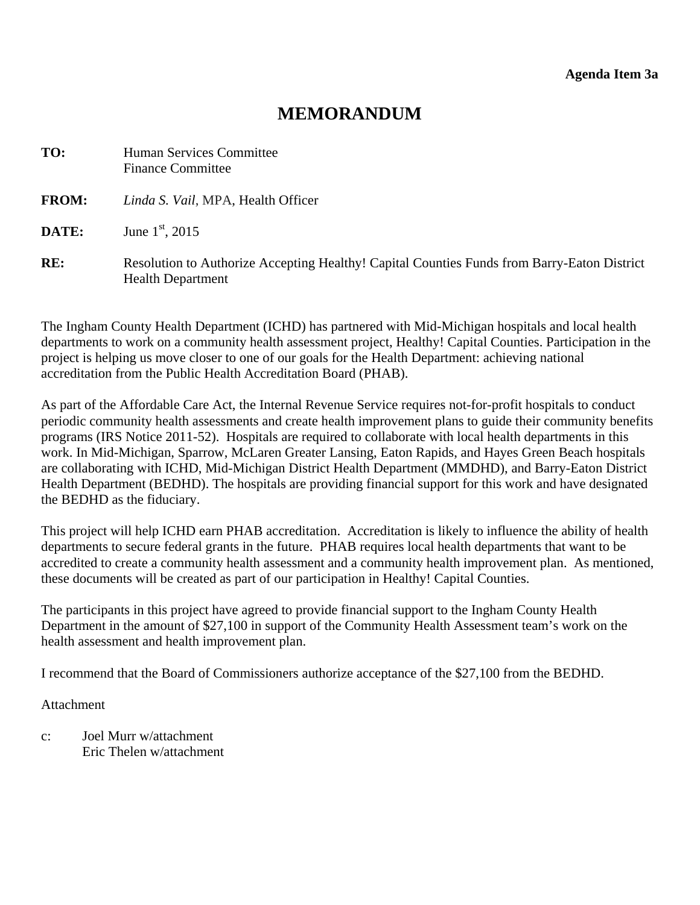# **MEMORANDUM**

<span id="page-13-0"></span>

| TO:          | Human Services Committee<br><b>Finance Committee</b>                                                                    |
|--------------|-------------------------------------------------------------------------------------------------------------------------|
| <b>FROM:</b> | Linda S. Vail, MPA, Health Officer                                                                                      |
| DATE:        | June $1^{\rm st}$ , 2015                                                                                                |
| RE:          | Resolution to Authorize Accepting Healthy! Capital Counties Funds from Barry-Eaton District<br><b>Health Department</b> |

The Ingham County Health Department (ICHD) has partnered with Mid-Michigan hospitals and local health departments to work on a community health assessment project, Healthy! Capital Counties. Participation in the project is helping us move closer to one of our goals for the Health Department: achieving national accreditation from the Public Health Accreditation Board (PHAB).

As part of the Affordable Care Act, the Internal Revenue Service requires not-for-profit hospitals to conduct periodic community health assessments and create health improvement plans to guide their community benefits programs (IRS Notice 2011-52). Hospitals are required to collaborate with local health departments in this work. In Mid-Michigan, Sparrow, McLaren Greater Lansing, Eaton Rapids, and Hayes Green Beach hospitals are collaborating with ICHD, Mid-Michigan District Health Department (MMDHD), and Barry-Eaton District Health Department (BEDHD). The hospitals are providing financial support for this work and have designated the BEDHD as the fiduciary.

This project will help ICHD earn PHAB accreditation. Accreditation is likely to influence the ability of health departments to secure federal grants in the future. PHAB requires local health departments that want to be accredited to create a community health assessment and a community health improvement plan. As mentioned, these documents will be created as part of our participation in Healthy! Capital Counties.

The participants in this project have agreed to provide financial support to the Ingham County Health Department in the amount of \$27,100 in support of the Community Health Assessment team's work on the health assessment and health improvement plan.

I recommend that the Board of Commissioners authorize acceptance of the \$27,100 from the BEDHD.

Attachment

c: Joel Murr w/attachment Eric Thelen w/attachment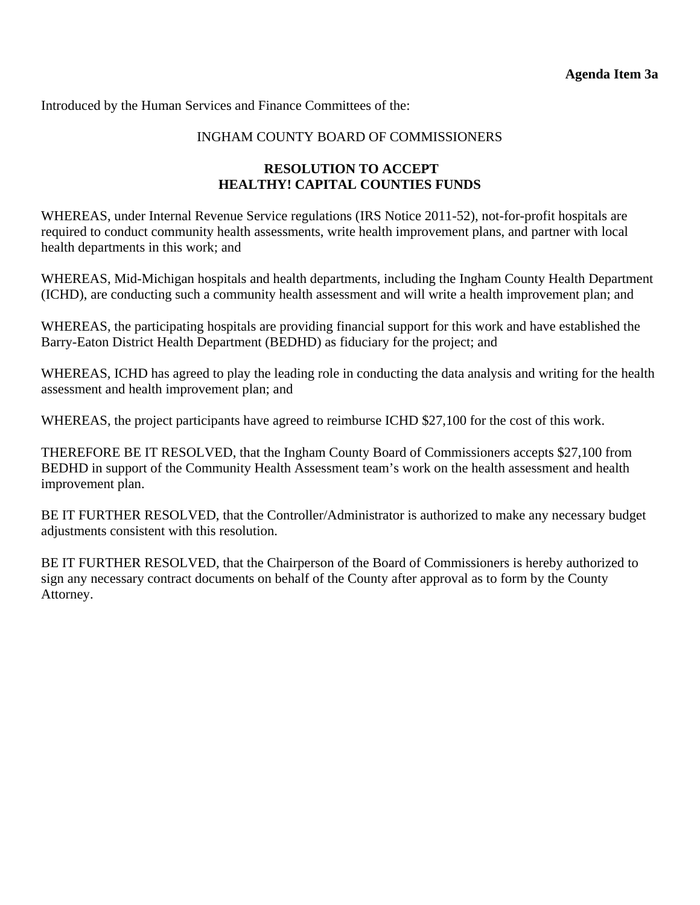Introduced by the Human Services and Finance Committees of the:

#### INGHAM COUNTY BOARD OF COMMISSIONERS

#### **RESOLUTION TO ACCEPT HEALTHY! CAPITAL COUNTIES FUNDS**

WHEREAS, under Internal Revenue Service regulations (IRS Notice 2011-52), not-for-profit hospitals are required to conduct community health assessments, write health improvement plans, and partner with local health departments in this work; and

WHEREAS, Mid-Michigan hospitals and health departments, including the Ingham County Health Department (ICHD), are conducting such a community health assessment and will write a health improvement plan; and

WHEREAS, the participating hospitals are providing financial support for this work and have established the Barry-Eaton District Health Department (BEDHD) as fiduciary for the project; and

WHEREAS, ICHD has agreed to play the leading role in conducting the data analysis and writing for the health assessment and health improvement plan; and

WHEREAS, the project participants have agreed to reimburse ICHD \$27,100 for the cost of this work.

THEREFORE BE IT RESOLVED, that the Ingham County Board of Commissioners accepts \$27,100 from BEDHD in support of the Community Health Assessment team's work on the health assessment and health improvement plan.

BE IT FURTHER RESOLVED, that the Controller/Administrator is authorized to make any necessary budget adjustments consistent with this resolution.

BE IT FURTHER RESOLVED, that the Chairperson of the Board of Commissioners is hereby authorized to sign any necessary contract documents on behalf of the County after approval as to form by the County Attorney.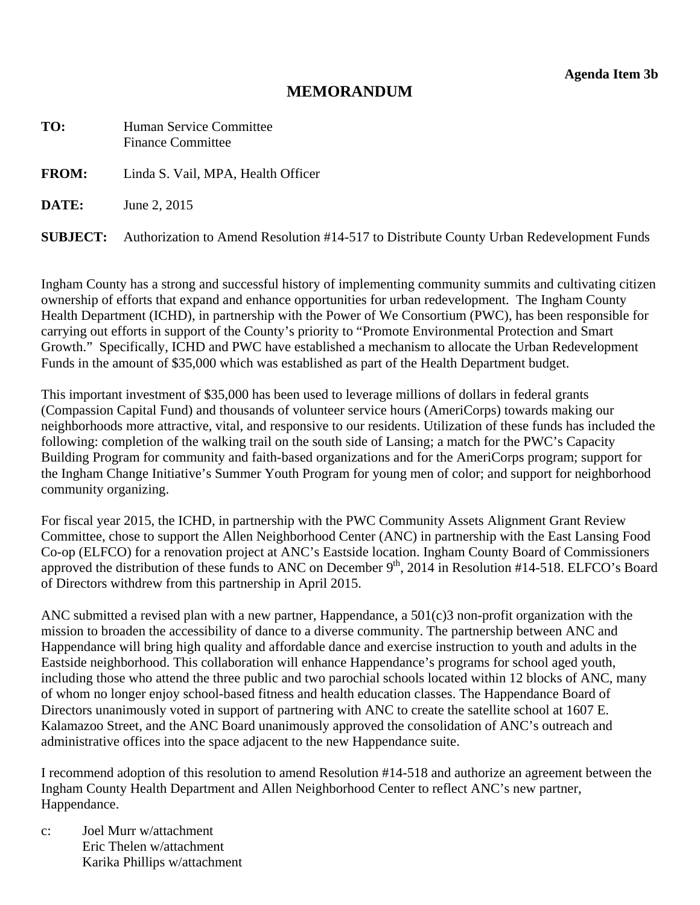## **MEMORANDUM**

<span id="page-15-0"></span>

| TO:          | <b>Human Service Committee</b><br><b>Finance Committee</b>                                               |
|--------------|----------------------------------------------------------------------------------------------------------|
| <b>FROM:</b> | Linda S. Vail, MPA, Health Officer                                                                       |
| DATE:        | June 2, 2015                                                                                             |
|              | <b>SUBJECT:</b> Authorization to Amend Resolution #14-517 to Distribute County Urban Redevelopment Funds |

Ingham County has a strong and successful history of implementing community summits and cultivating citizen ownership of efforts that expand and enhance opportunities for urban redevelopment. The Ingham County Health Department (ICHD), in partnership with the Power of We Consortium (PWC), has been responsible for carrying out efforts in support of the County's priority to "Promote Environmental Protection and Smart Growth." Specifically, ICHD and PWC have established a mechanism to allocate the Urban Redevelopment Funds in the amount of \$35,000 which was established as part of the Health Department budget.

This important investment of \$35,000 has been used to leverage millions of dollars in federal grants (Compassion Capital Fund) and thousands of volunteer service hours (AmeriCorps) towards making our neighborhoods more attractive, vital, and responsive to our residents. Utilization of these funds has included the following: completion of the walking trail on the south side of Lansing; a match for the PWC's Capacity Building Program for community and faith-based organizations and for the AmeriCorps program; support for the Ingham Change Initiative's Summer Youth Program for young men of color; and support for neighborhood community organizing.

For fiscal year 2015, the ICHD, in partnership with the PWC Community Assets Alignment Grant Review Committee, chose to support the Allen Neighborhood Center (ANC) in partnership with the East Lansing Food Co-op (ELFCO) for a renovation project at ANC's Eastside location. Ingham County Board of Commissioners approved the distribution of these funds to ANC on December  $9<sup>th</sup>$ , 2014 in Resolution #14-518. ELFCO's Board of Directors withdrew from this partnership in April 2015.

ANC submitted a revised plan with a new partner, Happendance, a 501(c)3 non-profit organization with the mission to broaden the accessibility of dance to a diverse community. The partnership between ANC and Happendance will bring high quality and affordable dance and exercise instruction to youth and adults in the Eastside neighborhood. This collaboration will enhance Happendance's programs for school aged youth, including those who attend the three public and two parochial schools located within 12 blocks of ANC, many of whom no longer enjoy school-based fitness and health education classes. The Happendance Board of Directors unanimously voted in support of partnering with ANC to create the satellite school at 1607 E. Kalamazoo Street, and the ANC Board unanimously approved the consolidation of ANC's outreach and administrative offices into the space adjacent to the new Happendance suite.

I recommend adoption of this resolution to amend Resolution #14-518 and authorize an agreement between the Ingham County Health Department and Allen Neighborhood Center to reflect ANC's new partner, Happendance.

c: Joel Murr w/attachment Eric Thelen w/attachment Karika Phillips w/attachment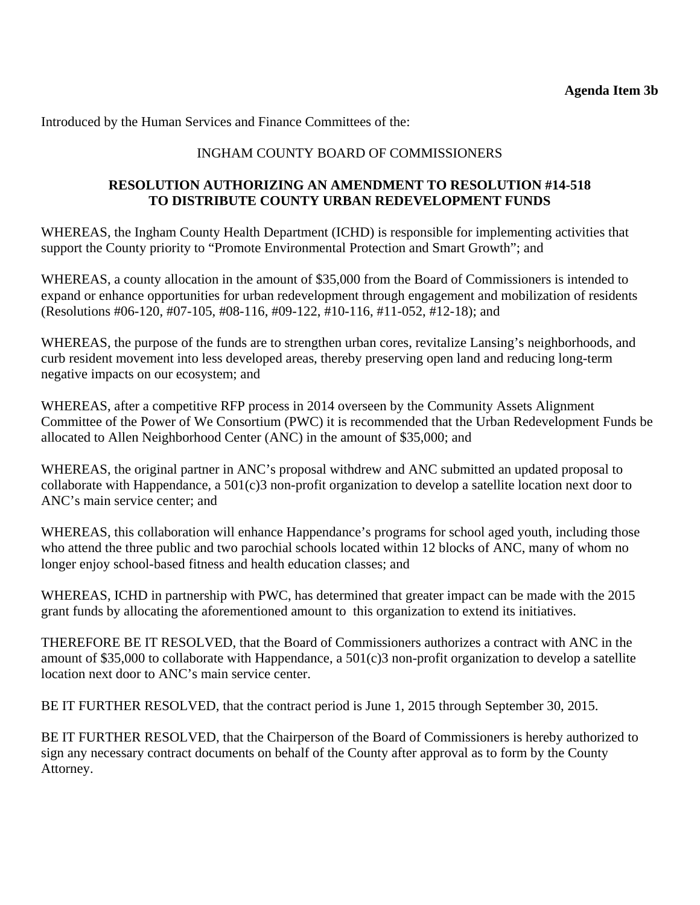Introduced by the Human Services and Finance Committees of the:

## INGHAM COUNTY BOARD OF COMMISSIONERS

## **RESOLUTION AUTHORIZING AN AMENDMENT TO RESOLUTION #14-518 TO DISTRIBUTE COUNTY URBAN REDEVELOPMENT FUNDS**

WHEREAS, the Ingham County Health Department (ICHD) is responsible for implementing activities that support the County priority to "Promote Environmental Protection and Smart Growth"; and

WHEREAS, a county allocation in the amount of \$35,000 from the Board of Commissioners is intended to expand or enhance opportunities for urban redevelopment through engagement and mobilization of residents (Resolutions #06-120, #07-105, #08-116, #09-122, #10-116, #11-052, #12-18); and

WHEREAS, the purpose of the funds are to strengthen urban cores, revitalize Lansing's neighborhoods, and curb resident movement into less developed areas, thereby preserving open land and reducing long-term negative impacts on our ecosystem; and

WHEREAS, after a competitive RFP process in 2014 overseen by the Community Assets Alignment Committee of the Power of We Consortium (PWC) it is recommended that the Urban Redevelopment Funds be allocated to Allen Neighborhood Center (ANC) in the amount of \$35,000; and

WHEREAS, the original partner in ANC's proposal withdrew and ANC submitted an updated proposal to collaborate with Happendance, a 501(c)3 non-profit organization to develop a satellite location next door to ANC's main service center; and

WHEREAS, this collaboration will enhance Happendance's programs for school aged youth, including those who attend the three public and two parochial schools located within 12 blocks of ANC, many of whom no longer enjoy school-based fitness and health education classes; and

WHEREAS, ICHD in partnership with PWC, has determined that greater impact can be made with the 2015 grant funds by allocating the aforementioned amount to this organization to extend its initiatives.

THEREFORE BE IT RESOLVED, that the Board of Commissioners authorizes a contract with ANC in the amount of \$35,000 to collaborate with Happendance, a 501(c)3 non-profit organization to develop a satellite location next door to ANC's main service center.

BE IT FURTHER RESOLVED, that the contract period is June 1, 2015 through September 30, 2015.

BE IT FURTHER RESOLVED, that the Chairperson of the Board of Commissioners is hereby authorized to sign any necessary contract documents on behalf of the County after approval as to form by the County Attorney.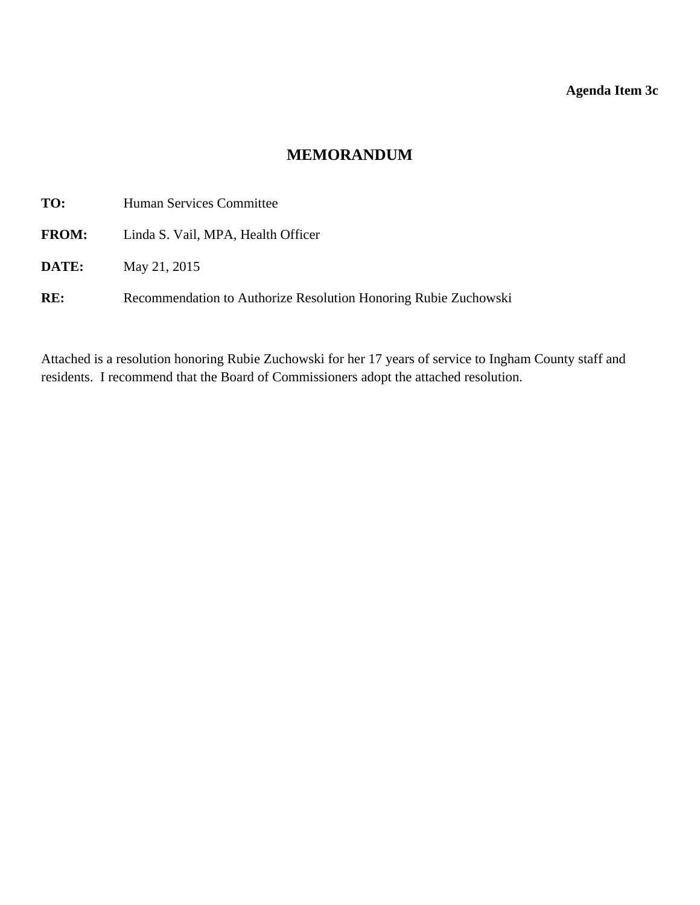## **Agenda Item 3c**

## **MEMORANDUM**

<span id="page-17-0"></span>

| TO:          | Human Services Committee                                        |
|--------------|-----------------------------------------------------------------|
| <b>FROM:</b> | Linda S. Vail, MPA, Health Officer                              |
| DATE:        | May 21, 2015                                                    |
| RE:          | Recommendation to Authorize Resolution Honoring Rubie Zuchowski |

Attached is a resolution honoring Rubie Zuchowski for her 17 years of service to Ingham County staff and residents. I recommend that the Board of Commissioners adopt the attached resolution.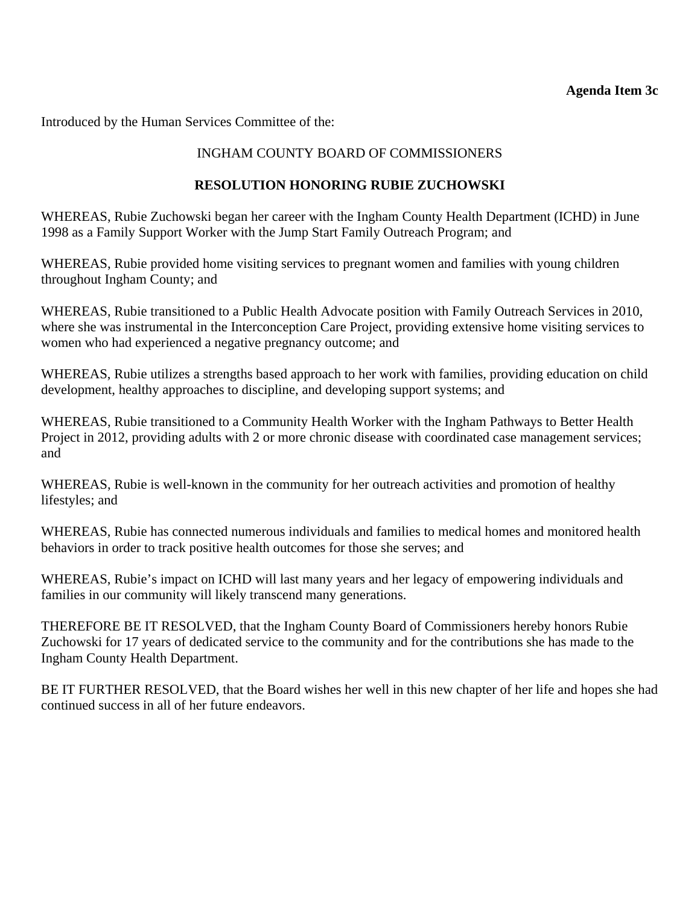#### **Agenda Item 3c**

Introduced by the Human Services Committee of the:

## INGHAM COUNTY BOARD OF COMMISSIONERS

## **RESOLUTION HONORING RUBIE ZUCHOWSKI**

WHEREAS, Rubie Zuchowski began her career with the Ingham County Health Department (ICHD) in June 1998 as a Family Support Worker with the Jump Start Family Outreach Program; and

WHEREAS, Rubie provided home visiting services to pregnant women and families with young children throughout Ingham County; and

WHEREAS, Rubie transitioned to a Public Health Advocate position with Family Outreach Services in 2010, where she was instrumental in the Interconception Care Project, providing extensive home visiting services to women who had experienced a negative pregnancy outcome; and

WHEREAS, Rubie utilizes a strengths based approach to her work with families, providing education on child development, healthy approaches to discipline, and developing support systems; and

WHEREAS, Rubie transitioned to a Community Health Worker with the Ingham Pathways to Better Health Project in 2012, providing adults with 2 or more chronic disease with coordinated case management services; and

WHEREAS, Rubie is well-known in the community for her outreach activities and promotion of healthy lifestyles; and

WHEREAS, Rubie has connected numerous individuals and families to medical homes and monitored health behaviors in order to track positive health outcomes for those she serves; and

WHEREAS, Rubie's impact on ICHD will last many years and her legacy of empowering individuals and families in our community will likely transcend many generations.

THEREFORE BE IT RESOLVED, that the Ingham County Board of Commissioners hereby honors Rubie Zuchowski for 17 years of dedicated service to the community and for the contributions she has made to the Ingham County Health Department.

BE IT FURTHER RESOLVED, that the Board wishes her well in this new chapter of her life and hopes she had continued success in all of her future endeavors.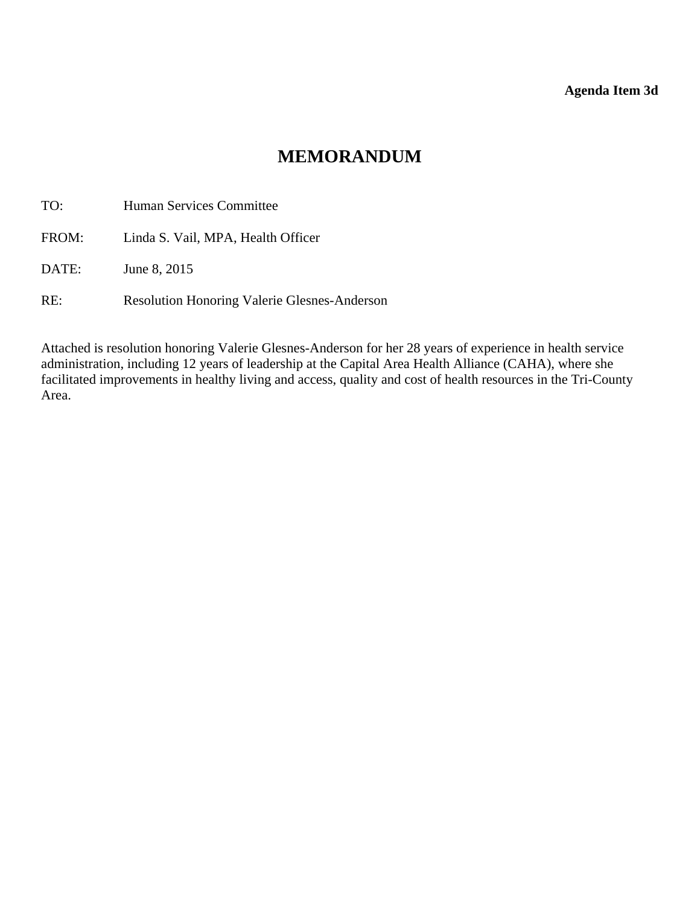## **Agenda Item 3d**

# **MEMORANDUM**

<span id="page-19-0"></span>TO: Human Services Committee FROM: Linda S. Vail, MPA, Health Officer DATE: June 8, 2015

RE: Resolution Honoring Valerie Glesnes-Anderson

Attached is resolution honoring Valerie Glesnes-Anderson for her 28 years of experience in health service administration, including 12 years of leadership at the Capital Area Health Alliance (CAHA), where she facilitated improvements in healthy living and access, quality and cost of health resources in the Tri-County Area.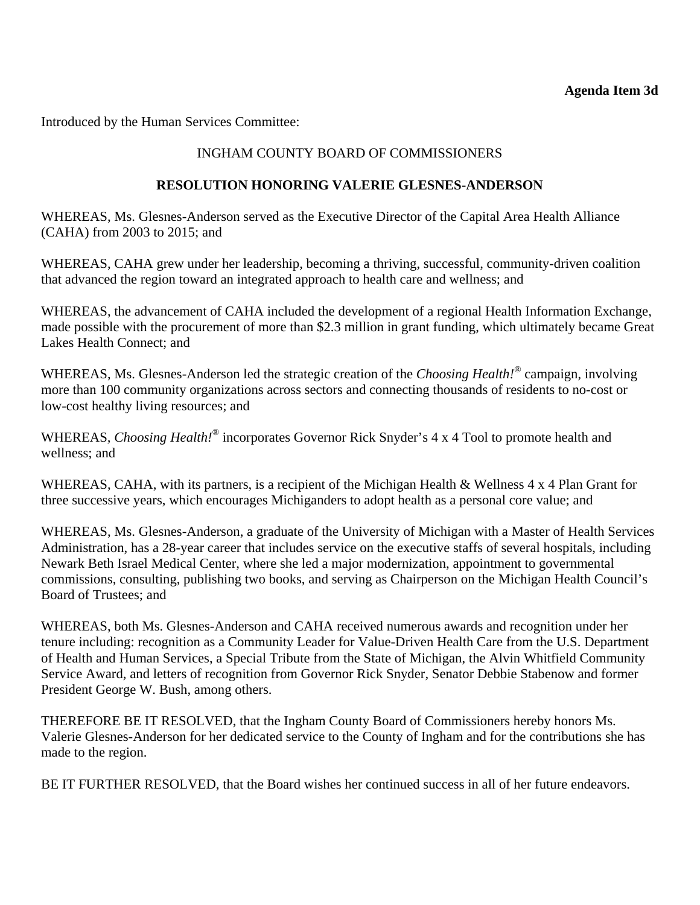Introduced by the Human Services Committee:

## INGHAM COUNTY BOARD OF COMMISSIONERS

## **RESOLUTION HONORING VALERIE GLESNES-ANDERSON**

WHEREAS, Ms. Glesnes-Anderson served as the Executive Director of the Capital Area Health Alliance (CAHA) from 2003 to 2015; and

WHEREAS, CAHA grew under her leadership, becoming a thriving, successful, community-driven coalition that advanced the region toward an integrated approach to health care and wellness; and

WHEREAS, the advancement of CAHA included the development of a regional Health Information Exchange, made possible with the procurement of more than \$2.3 million in grant funding, which ultimately became Great Lakes Health Connect; and

WHEREAS, Ms. Glesnes-Anderson led the strategic creation of the *Choosing Health!®* campaign, involving more than 100 community organizations across sectors and connecting thousands of residents to no-cost or low-cost healthy living resources; and

WHEREAS*, Choosing Health!®* incorporates Governor Rick Snyder's 4 x 4 Tool to promote health and wellness; and

WHEREAS, CAHA, with its partners, is a recipient of the Michigan Health & Wellness 4 x 4 Plan Grant for three successive years, which encourages Michiganders to adopt health as a personal core value; and

WHEREAS, Ms. Glesnes-Anderson, a graduate of the University of Michigan with a Master of Health Services Administration, has a 28-year career that includes service on the executive staffs of several hospitals, including Newark Beth Israel Medical Center, where she led a major modernization, appointment to governmental commissions, consulting, publishing two books, and serving as Chairperson on the Michigan Health Council's Board of Trustees; and

WHEREAS, both Ms. Glesnes-Anderson and CAHA received numerous awards and recognition under her tenure including: recognition as a Community Leader for Value-Driven Health Care from the U.S. Department of Health and Human Services, a Special Tribute from the State of Michigan, the Alvin Whitfield Community Service Award, and letters of recognition from Governor Rick Snyder, Senator Debbie Stabenow and former President George W. Bush, among others.

THEREFORE BE IT RESOLVED, that the Ingham County Board of Commissioners hereby honors Ms. Valerie Glesnes-Anderson for her dedicated service to the County of Ingham and for the contributions she has made to the region.

BE IT FURTHER RESOLVED, that the Board wishes her continued success in all of her future endeavors.